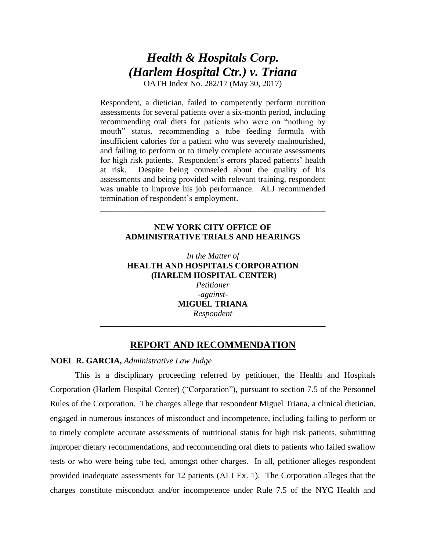# *Health & Hospitals Corp. (Harlem Hospital Ctr.) v. Triana*

OATH Index No. 282/17 (May 30, 2017)

Respondent, a dietician, failed to competently perform nutrition assessments for several patients over a six-month period, including recommending oral diets for patients who were on "nothing by mouth" status, recommending a tube feeding formula with insufficient calories for a patient who was severely malnourished, and failing to perform or to timely complete accurate assessments for high risk patients. Respondent's errors placed patients' health at risk. Despite being counseled about the quality of his assessments and being provided with relevant training, respondent was unable to improve his job performance. ALJ recommended termination of respondent's employment.

# **NEW YORK CITY OFFICE OF ADMINISTRATIVE TRIALS AND HEARINGS**

\_\_\_\_\_\_\_\_\_\_\_\_\_\_\_\_\_\_\_\_\_\_\_\_\_\_\_\_\_\_\_\_\_\_\_\_\_\_\_\_\_\_\_\_\_\_\_\_\_\_\_\_\_\_

*In the Matter of* **HEALTH AND HOSPITALS CORPORATION (HARLEM HOSPITAL CENTER)** *Petitioner*

*-against-***MIGUEL TRIANA** *Respondent*

\_\_\_\_\_\_\_\_\_\_\_\_\_\_\_\_\_\_\_\_\_\_\_\_\_\_\_\_\_\_\_\_\_\_\_\_\_\_\_\_\_\_\_\_\_\_\_\_\_\_\_\_\_\_

# **REPORT AND RECOMMENDATION**

# **NOEL R. GARCIA,** *Administrative Law Judge*

This is a disciplinary proceeding referred by petitioner, the Health and Hospitals Corporation (Harlem Hospital Center) ("Corporation"), pursuant to section 7.5 of the Personnel Rules of the Corporation. The charges allege that respondent Miguel Triana, a clinical dietician, engaged in numerous instances of misconduct and incompetence, including failing to perform or to timely complete accurate assessments of nutritional status for high risk patients, submitting improper dietary recommendations, and recommending oral diets to patients who failed swallow tests or who were being tube fed, amongst other charges. In all, petitioner alleges respondent provided inadequate assessments for 12 patients (ALJ Ex. 1). The Corporation alleges that the charges constitute misconduct and/or incompetence under Rule 7.5 of the NYC Health and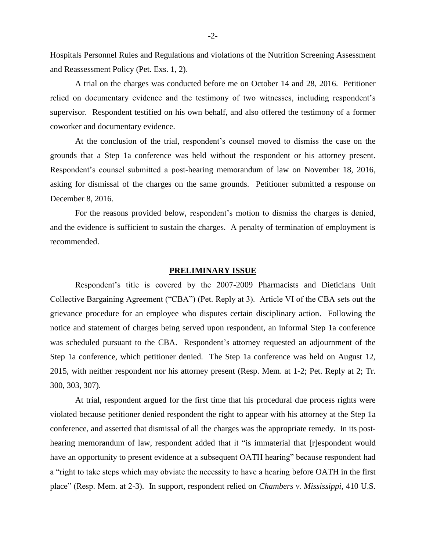Hospitals Personnel Rules and Regulations and violations of the Nutrition Screening Assessment and Reassessment Policy (Pet. Exs. 1, 2).

A trial on the charges was conducted before me on October 14 and 28, 2016. Petitioner relied on documentary evidence and the testimony of two witnesses, including respondent's supervisor. Respondent testified on his own behalf, and also offered the testimony of a former coworker and documentary evidence.

At the conclusion of the trial, respondent's counsel moved to dismiss the case on the grounds that a Step 1a conference was held without the respondent or his attorney present. Respondent's counsel submitted a post-hearing memorandum of law on November 18, 2016, asking for dismissal of the charges on the same grounds. Petitioner submitted a response on December 8, 2016.

For the reasons provided below, respondent's motion to dismiss the charges is denied, and the evidence is sufficient to sustain the charges. A penalty of termination of employment is recommended.

#### **PRELIMINARY ISSUE**

Respondent's title is covered by the 2007-2009 Pharmacists and Dieticians Unit Collective Bargaining Agreement ("CBA") (Pet. Reply at 3). Article VI of the CBA sets out the grievance procedure for an employee who disputes certain disciplinary action. Following the notice and statement of charges being served upon respondent, an informal Step 1a conference was scheduled pursuant to the CBA. Respondent's attorney requested an adjournment of the Step 1a conference, which petitioner denied. The Step 1a conference was held on August 12, 2015, with neither respondent nor his attorney present (Resp. Mem. at 1-2; Pet. Reply at 2; Tr. 300, 303, 307).

At trial, respondent argued for the first time that his procedural due process rights were violated because petitioner denied respondent the right to appear with his attorney at the Step 1a conference, and asserted that dismissal of all the charges was the appropriate remedy. In its posthearing memorandum of law, respondent added that it "is immaterial that [r]espondent would have an opportunity to present evidence at a subsequent OATH hearing" because respondent had a "right to take steps which may obviate the necessity to have a hearing before OATH in the first place" (Resp. Mem. at 2-3). In support, respondent relied on *Chambers v. Mississippi*, 410 U.S.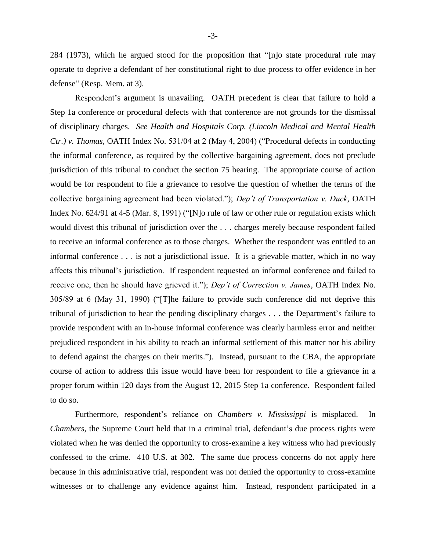284 (1973), which he argued stood for the proposition that "[n]o state procedural rule may operate to deprive a defendant of her constitutional right to due process to offer evidence in her defense" (Resp. Mem. at 3).

Respondent's argument is unavailing. OATH precedent is clear that failure to hold a Step 1a conference or procedural defects with that conference are not grounds for the dismissal of disciplinary charges. *See Health and Hospitals Corp. (Lincoln Medical and Mental Health Ctr.) v. Thomas*, OATH Index No. 531/04 at 2 (May 4, 2004) ("Procedural defects in conducting the informal conference, as required by the collective bargaining agreement, does not preclude jurisdiction of this tribunal to conduct the section 75 hearing. The appropriate course of action would be for respondent to file a grievance to resolve the question of whether the terms of the collective bargaining agreement had been violated."); *Dep't of Transportation v. Duck*, OATH Index No. 624/91 at 4-5 (Mar. 8, 1991) ("[N]o rule of law or other rule or regulation exists which would divest this tribunal of jurisdiction over the . . . charges merely because respondent failed to receive an informal conference as to those charges. Whether the respondent was entitled to an informal conference . . . is not a jurisdictional issue. It is a grievable matter, which in no way affects this tribunal's jurisdiction. If respondent requested an informal conference and failed to receive one, then he should have grieved it."); *Dep't of Correction v. James*, OATH Index No. 305/89 at 6 (May 31, 1990) ("[T]he failure to provide such conference did not deprive this tribunal of jurisdiction to hear the pending disciplinary charges . . . the Department's failure to provide respondent with an in-house informal conference was clearly harmless error and neither prejudiced respondent in his ability to reach an informal settlement of this matter nor his ability to defend against the charges on their merits."). Instead, pursuant to the CBA, the appropriate course of action to address this issue would have been for respondent to file a grievance in a proper forum within 120 days from the August 12, 2015 Step 1a conference. Respondent failed to do so.

Furthermore, respondent's reliance on *Chambers v. Mississippi* is misplaced. In *Chambers*, the Supreme Court held that in a criminal trial, defendant's due process rights were violated when he was denied the opportunity to cross-examine a key witness who had previously confessed to the crime. 410 U.S. at 302. The same due process concerns do not apply here because in this administrative trial, respondent was not denied the opportunity to cross-examine witnesses or to challenge any evidence against him. Instead, respondent participated in a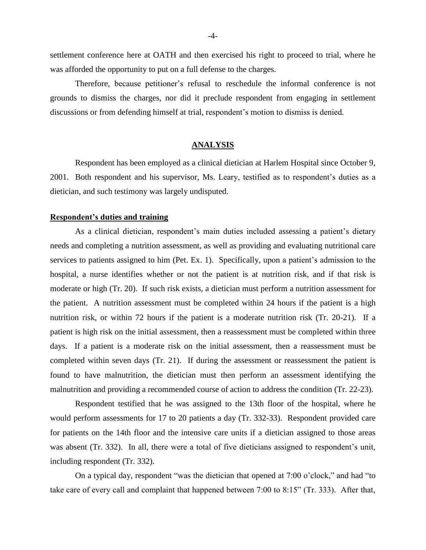settlement conference here at OATH and then exercised his right to proceed to trial, where he was afforded the opportunity to put on a full defense to the charges.

Therefore, because petitioner's refusal to reschedule the informal conference is not grounds to dismiss the charges, nor did it preclude respondent from engaging in settlement discussions or from defending himself at trial, respondent's motion to dismiss is denied.

# **ANALYSIS**

Respondent has been employed as a clinical dietician at Harlem Hospital since October 9, 2001. Both respondent and his supervisor, Ms. Leary, testified as to respondent's duties as a dietician, and such testimony was largely undisputed.

# **Respondent's duties and training**

As a clinical dietician, respondent's main duties included assessing a patient's dietary needs and completing a nutrition assessment, as well as providing and evaluating nutritional care services to patients assigned to him (Pet. Ex. 1). Specifically, upon a patient's admission to the hospital, a nurse identifies whether or not the patient is at nutrition risk, and if that risk is moderate or high (Tr. 20). If such risk exists, a dietician must perform a nutrition assessment for the patient. A nutrition assessment must be completed within 24 hours if the patient is a high nutrition risk, or within 72 hours if the patient is a moderate nutrition risk (Tr. 20-21). If a patient is high risk on the initial assessment, then a reassessment must be completed within three days. If a patient is a moderate risk on the initial assessment, then a reassessment must be completed within seven days (Tr. 21). If during the assessment or reassessment the patient is found to have malnutrition, the dietician must then perform an assessment identifying the malnutrition and providing a recommended course of action to address the condition (Tr. 22-23).

Respondent testified that he was assigned to the 13th floor of the hospital, where he would perform assessments for 17 to 20 patients a day (Tr. 332-33). Respondent provided care for patients on the 14th floor and the intensive care units if a dietician assigned to those areas was absent (Tr. 332). In all, there were a total of five dieticians assigned to respondent's unit, including respondent (Tr. 332).

On a typical day, respondent "was the dietician that opened at 7:00 o'clock," and had "to take care of every call and complaint that happened between 7:00 to 8:15" (Tr. 333). After that,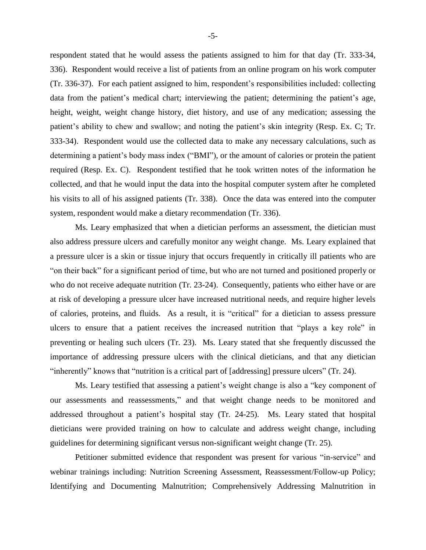respondent stated that he would assess the patients assigned to him for that day (Tr. 333-34, 336). Respondent would receive a list of patients from an online program on his work computer (Tr. 336-37). For each patient assigned to him, respondent's responsibilities included: collecting data from the patient's medical chart; interviewing the patient; determining the patient's age, height, weight, weight change history, diet history, and use of any medication; assessing the patient's ability to chew and swallow; and noting the patient's skin integrity (Resp. Ex. C; Tr. 333-34). Respondent would use the collected data to make any necessary calculations, such as determining a patient's body mass index ("BMI"), or the amount of calories or protein the patient required (Resp. Ex. C). Respondent testified that he took written notes of the information he collected, and that he would input the data into the hospital computer system after he completed his visits to all of his assigned patients (Tr. 338). Once the data was entered into the computer system, respondent would make a dietary recommendation (Tr. 336).

Ms. Leary emphasized that when a dietician performs an assessment, the dietician must also address pressure ulcers and carefully monitor any weight change. Ms. Leary explained that a pressure ulcer is a skin or tissue injury that occurs frequently in critically ill patients who are "on their back" for a significant period of time, but who are not turned and positioned properly or who do not receive adequate nutrition (Tr. 23-24). Consequently, patients who either have or are at risk of developing a pressure ulcer have increased nutritional needs, and require higher levels of calories, proteins, and fluids. As a result, it is "critical" for a dietician to assess pressure ulcers to ensure that a patient receives the increased nutrition that "plays a key role" in preventing or healing such ulcers (Tr. 23). Ms. Leary stated that she frequently discussed the importance of addressing pressure ulcers with the clinical dieticians, and that any dietician "inherently" knows that "nutrition is a critical part of [addressing] pressure ulcers" (Tr. 24).

Ms. Leary testified that assessing a patient's weight change is also a "key component of our assessments and reassessments," and that weight change needs to be monitored and addressed throughout a patient's hospital stay (Tr. 24-25). Ms. Leary stated that hospital dieticians were provided training on how to calculate and address weight change, including guidelines for determining significant versus non-significant weight change (Tr. 25).

Petitioner submitted evidence that respondent was present for various "in-service" and webinar trainings including: Nutrition Screening Assessment, Reassessment/Follow-up Policy; Identifying and Documenting Malnutrition; Comprehensively Addressing Malnutrition in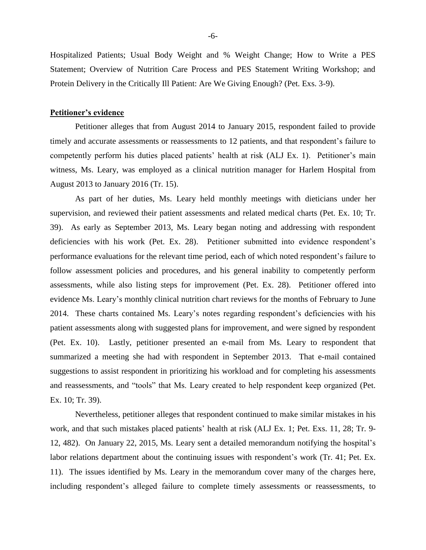Hospitalized Patients; Usual Body Weight and % Weight Change; How to Write a PES Statement; Overview of Nutrition Care Process and PES Statement Writing Workshop; and Protein Delivery in the Critically Ill Patient: Are We Giving Enough? (Pet. Exs. 3-9).

#### **Petitioner's evidence**

Petitioner alleges that from August 2014 to January 2015, respondent failed to provide timely and accurate assessments or reassessments to 12 patients, and that respondent's failure to competently perform his duties placed patients' health at risk (ALJ Ex. 1). Petitioner's main witness, Ms. Leary, was employed as a clinical nutrition manager for Harlem Hospital from August 2013 to January 2016 (Tr. 15).

As part of her duties, Ms. Leary held monthly meetings with dieticians under her supervision, and reviewed their patient assessments and related medical charts (Pet. Ex. 10; Tr. 39). As early as September 2013, Ms. Leary began noting and addressing with respondent deficiencies with his work (Pet. Ex. 28). Petitioner submitted into evidence respondent's performance evaluations for the relevant time period, each of which noted respondent's failure to follow assessment policies and procedures, and his general inability to competently perform assessments, while also listing steps for improvement (Pet. Ex. 28). Petitioner offered into evidence Ms. Leary's monthly clinical nutrition chart reviews for the months of February to June 2014. These charts contained Ms. Leary's notes regarding respondent's deficiencies with his patient assessments along with suggested plans for improvement, and were signed by respondent (Pet. Ex. 10). Lastly, petitioner presented an e-mail from Ms. Leary to respondent that summarized a meeting she had with respondent in September 2013. That e-mail contained suggestions to assist respondent in prioritizing his workload and for completing his assessments and reassessments, and "tools" that Ms. Leary created to help respondent keep organized (Pet. Ex. 10; Tr. 39).

Nevertheless, petitioner alleges that respondent continued to make similar mistakes in his work, and that such mistakes placed patients' health at risk (ALJ Ex. 1; Pet. Exs. 11, 28; Tr. 9- 12, 482). On January 22, 2015, Ms. Leary sent a detailed memorandum notifying the hospital's labor relations department about the continuing issues with respondent's work (Tr. 41; Pet. Ex. 11). The issues identified by Ms. Leary in the memorandum cover many of the charges here, including respondent's alleged failure to complete timely assessments or reassessments, to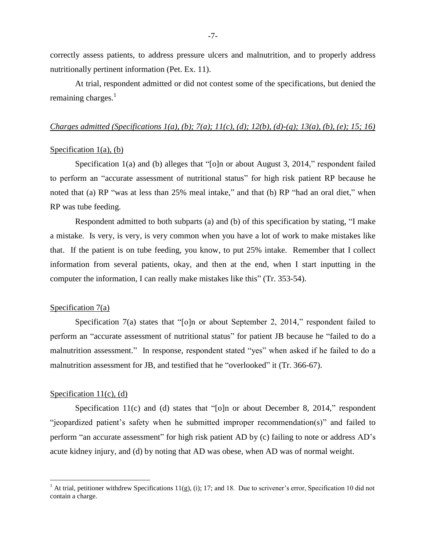correctly assess patients, to address pressure ulcers and malnutrition, and to properly address nutritionally pertinent information (Pet. Ex. 11).

At trial, respondent admitted or did not contest some of the specifications, but denied the remaining charges. $<sup>1</sup>$ </sup>

#### *Charges admitted (Specifications 1(a), (b); 7(a); 11(c), (d); 12(b), (d)-(g); 13(a), (b), (e); 15; 16)*

# Specification  $1(a)$ , (b)

Specification 1(a) and (b) alleges that "[o]n or about August 3, 2014," respondent failed to perform an "accurate assessment of nutritional status" for high risk patient RP because he noted that (a) RP "was at less than 25% meal intake," and that (b) RP "had an oral diet," when RP was tube feeding.

Respondent admitted to both subparts (a) and (b) of this specification by stating, "I make a mistake. Is very, is very, is very common when you have a lot of work to make mistakes like that. If the patient is on tube feeding, you know, to put 25% intake. Remember that I collect information from several patients, okay, and then at the end, when I start inputting in the computer the information, I can really make mistakes like this" (Tr. 353-54).

#### Specification 7(a)

Specification 7(a) states that "[o]n or about September 2, 2014," respondent failed to perform an "accurate assessment of nutritional status" for patient JB because he "failed to do a malnutrition assessment." In response, respondent stated "yes" when asked if he failed to do a malnutrition assessment for JB, and testified that he "overlooked" it (Tr. 366-67).

# Specification  $11(c)$ , (d)

 $\overline{a}$ 

Specification 11(c) and (d) states that "[o]n or about December 8, 2014," respondent "jeopardized patient's safety when he submitted improper recommendation(s)" and failed to perform "an accurate assessment" for high risk patient AD by (c) failing to note or address AD's acute kidney injury, and (d) by noting that AD was obese, when AD was of normal weight.

<sup>&</sup>lt;sup>1</sup> At trial, petitioner withdrew Specifications 11(g), (i); 17; and 18. Due to scrivener's error, Specification 10 did not contain a charge.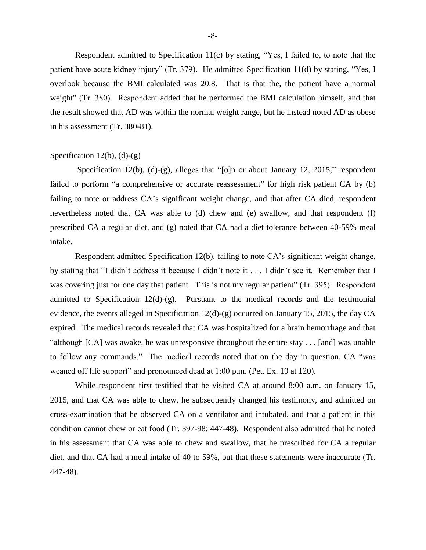Respondent admitted to Specification 11(c) by stating, "Yes, I failed to, to note that the patient have acute kidney injury" (Tr. 379). He admitted Specification 11(d) by stating, "Yes, I overlook because the BMI calculated was 20.8. That is that the, the patient have a normal weight" (Tr. 380). Respondent added that he performed the BMI calculation himself, and that the result showed that AD was within the normal weight range, but he instead noted AD as obese in his assessment (Tr. 380-81).

#### Specification  $12(b)$ , (d)-(g)

Specification 12(b), (d)-(g), alleges that "[o]n or about January 12, 2015," respondent failed to perform "a comprehensive or accurate reassessment" for high risk patient CA by (b) failing to note or address CA's significant weight change, and that after CA died, respondent nevertheless noted that CA was able to (d) chew and (e) swallow, and that respondent (f) prescribed CA a regular diet, and (g) noted that CA had a diet tolerance between 40-59% meal intake.

Respondent admitted Specification 12(b), failing to note CA's significant weight change, by stating that "I didn't address it because I didn't note it . . . I didn't see it. Remember that I was covering just for one day that patient. This is not my regular patient" (Tr. 395). Respondent admitted to Specification  $12(d)-(g)$ . Pursuant to the medical records and the testimonial evidence, the events alleged in Specification 12(d)-(g) occurred on January 15, 2015, the day CA expired. The medical records revealed that CA was hospitalized for a brain hemorrhage and that "although [CA] was awake, he was unresponsive throughout the entire stay . . . [and] was unable to follow any commands." The medical records noted that on the day in question, CA "was weaned off life support" and pronounced dead at 1:00 p.m. (Pet. Ex. 19 at 120).

While respondent first testified that he visited CA at around 8:00 a.m. on January 15, 2015, and that CA was able to chew, he subsequently changed his testimony, and admitted on cross-examination that he observed CA on a ventilator and intubated, and that a patient in this condition cannot chew or eat food (Tr. 397-98; 447-48). Respondent also admitted that he noted in his assessment that CA was able to chew and swallow, that he prescribed for CA a regular diet, and that CA had a meal intake of 40 to 59%, but that these statements were inaccurate (Tr. 447-48).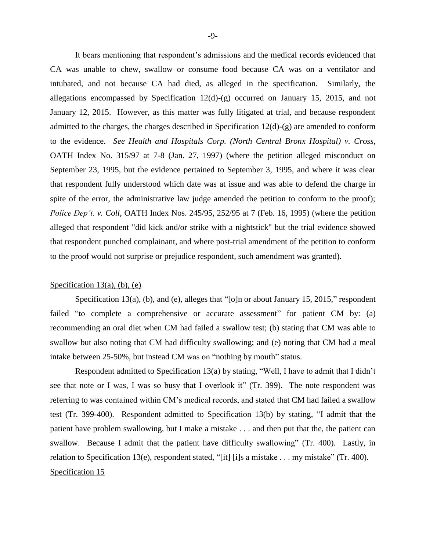It bears mentioning that respondent's admissions and the medical records evidenced that CA was unable to chew, swallow or consume food because CA was on a ventilator and intubated, and not because CA had died, as alleged in the specification. Similarly, the allegations encompassed by Specification 12(d)-(g) occurred on January 15, 2015, and not January 12, 2015. However, as this matter was fully litigated at trial, and because respondent admitted to the charges, the charges described in Specification 12(d)-(g) are amended to conform to the evidence. *See Health and Hospitals Corp. (North Central Bronx Hospital) v. Cross*, OATH Index No. 315/97 at 7-8 (Jan. 27, 1997) (where the petition alleged misconduct on September 23, 1995, but the evidence pertained to September 3, 1995, and where it was clear that respondent fully understood which date was at issue and was able to defend the charge in spite of the error, the administrative law judge amended the petition to conform to the proof); *Police Dep't. v. Coll*, OATH Index Nos. 245/95, 252/95 at 7 (Feb. 16, 1995) (where the petition alleged that respondent "did kick and/or strike with a nightstick" but the trial evidence showed that respondent punched complainant, and where post-trial amendment of the petition to conform to the proof would not surprise or prejudice respondent, such amendment was granted).

# Specification  $13(a)$ , (b), (e)

Specification 13(a), (b), and (e), alleges that "[o]n or about January 15, 2015," respondent failed "to complete a comprehensive or accurate assessment" for patient CM by: (a) recommending an oral diet when CM had failed a swallow test; (b) stating that CM was able to swallow but also noting that CM had difficulty swallowing; and (e) noting that CM had a meal intake between 25-50%, but instead CM was on "nothing by mouth" status.

Respondent admitted to Specification 13(a) by stating, "Well, I have to admit that I didn't see that note or I was, I was so busy that I overlook it" (Tr. 399). The note respondent was referring to was contained within CM's medical records, and stated that CM had failed a swallow test (Tr. 399-400). Respondent admitted to Specification 13(b) by stating, "I admit that the patient have problem swallowing, but I make a mistake . . . and then put that the, the patient can swallow. Because I admit that the patient have difficulty swallowing" (Tr. 400). Lastly, in relation to Specification 13(e), respondent stated, "[it] [i]s a mistake . . . my mistake" (Tr. 400). Specification 15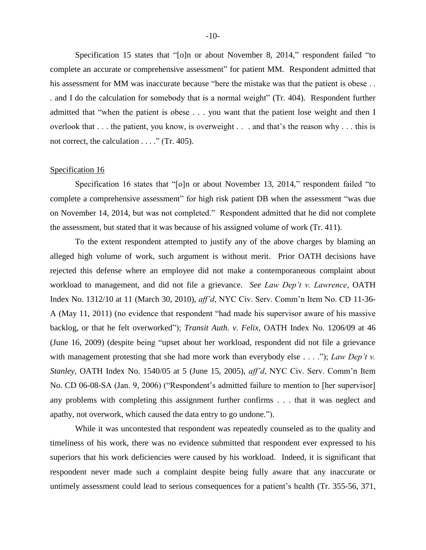Specification 15 states that "[o]n or about November 8, 2014," respondent failed "to complete an accurate or comprehensive assessment" for patient MM. Respondent admitted that his assessment for MM was inaccurate because "here the mistake was that the patient is obese . . . and I do the calculation for somebody that is a normal weight" (Tr. 404). Respondent further admitted that "when the patient is obese . . . you want that the patient lose weight and then I overlook that . . . the patient, you know, is overweight . . . and that's the reason why . . . this is not correct, the calculation . . . ." (Tr. 405).

# Specification 16

Specification 16 states that "[o]n or about November 13, 2014," respondent failed "to complete a comprehensive assessment" for high risk patient DB when the assessment "was due on November 14, 2014, but was not completed." Respondent admitted that he did not complete the assessment, but stated that it was because of his assigned volume of work (Tr. 411).

To the extent respondent attempted to justify any of the above charges by blaming an alleged high volume of work, such argument is without merit. Prior OATH decisions have rejected this defense where an employee did not make a contemporaneous complaint about workload to management, and did not file a grievance. *See Law Dep't v. Lawrence*, OATH Index No. 1312/10 at 11 (March 30, 2010), *aff'd*, NYC Civ. Serv. Comm'n Item No. CD 11-36- A (May 11, 2011) (no evidence that respondent "had made his supervisor aware of his massive backlog, or that he felt overworked"); *Transit Auth. v. Felix*, OATH Index No. 1206/09 at 46 (June 16, 2009) (despite being "upset about her workload, respondent did not file a grievance with management protesting that she had more work than everybody else . . . ."); *Law Dep't v*. *Stanley*, OATH Index No. 1540/05 at 5 (June 15, 2005), *aff'd*, NYC Civ. Serv. Comm'n Item No. CD 06-08-SA (Jan. 9, 2006) ("Respondent's admitted failure to mention to [her supervisor] any problems with completing this assignment further confirms . . . that it was neglect and apathy, not overwork, which caused the data entry to go undone.").

While it was uncontested that respondent was repeatedly counseled as to the quality and timeliness of his work, there was no evidence submitted that respondent ever expressed to his superiors that his work deficiencies were caused by his workload. Indeed, it is significant that respondent never made such a complaint despite being fully aware that any inaccurate or untimely assessment could lead to serious consequences for a patient's health (Tr. 355-56, 371,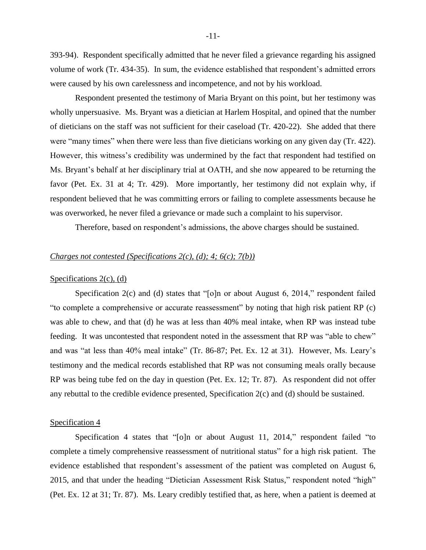393-94). Respondent specifically admitted that he never filed a grievance regarding his assigned volume of work (Tr. 434-35). In sum, the evidence established that respondent's admitted errors were caused by his own carelessness and incompetence, and not by his workload.

Respondent presented the testimony of Maria Bryant on this point, but her testimony was wholly unpersuasive. Ms. Bryant was a dietician at Harlem Hospital, and opined that the number of dieticians on the staff was not sufficient for their caseload (Tr. 420-22). She added that there were "many times" when there were less than five dieticians working on any given day (Tr. 422). However, this witness's credibility was undermined by the fact that respondent had testified on Ms. Bryant's behalf at her disciplinary trial at OATH, and she now appeared to be returning the favor (Pet. Ex. 31 at 4; Tr. 429). More importantly, her testimony did not explain why, if respondent believed that he was committing errors or failing to complete assessments because he was overworked, he never filed a grievance or made such a complaint to his supervisor.

Therefore, based on respondent's admissions, the above charges should be sustained.

# *Charges not contested (Specifications 2(c), (d); 4; 6(c); 7(b))*

#### Specifications  $2(c)$ ,  $(d)$

Specification 2(c) and (d) states that "[o]n or about August 6, 2014," respondent failed "to complete a comprehensive or accurate reassessment" by noting that high risk patient RP (c) was able to chew, and that (d) he was at less than 40% meal intake, when RP was instead tube feeding. It was uncontested that respondent noted in the assessment that RP was "able to chew" and was "at less than 40% meal intake" (Tr. 86-87; Pet. Ex. 12 at 31). However, Ms. Leary's testimony and the medical records established that RP was not consuming meals orally because RP was being tube fed on the day in question (Pet. Ex. 12; Tr. 87). As respondent did not offer any rebuttal to the credible evidence presented, Specification 2(c) and (d) should be sustained.

#### Specification 4

Specification 4 states that "[o]n or about August 11, 2014," respondent failed "to complete a timely comprehensive reassessment of nutritional status" for a high risk patient. The evidence established that respondent's assessment of the patient was completed on August 6, 2015, and that under the heading "Dietician Assessment Risk Status," respondent noted "high" (Pet. Ex. 12 at 31; Tr. 87). Ms. Leary credibly testified that, as here, when a patient is deemed at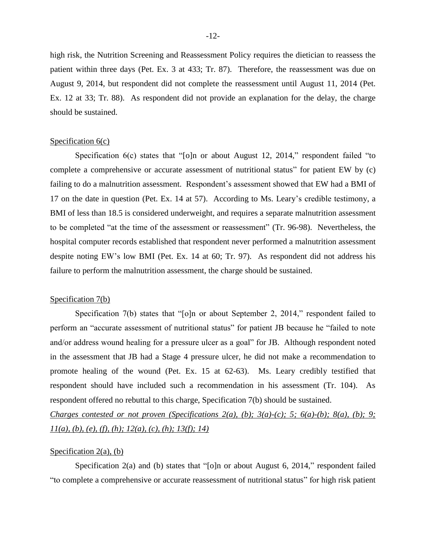high risk, the Nutrition Screening and Reassessment Policy requires the dietician to reassess the patient within three days (Pet. Ex. 3 at 433; Tr. 87). Therefore, the reassessment was due on August 9, 2014, but respondent did not complete the reassessment until August 11, 2014 (Pet. Ex. 12 at 33; Tr. 88). As respondent did not provide an explanation for the delay, the charge should be sustained.

### Specification  $6(c)$

Specification 6(c) states that "[o]n or about August 12, 2014," respondent failed "to complete a comprehensive or accurate assessment of nutritional status" for patient EW by (c) failing to do a malnutrition assessment. Respondent's assessment showed that EW had a BMI of 17 on the date in question (Pet. Ex. 14 at 57). According to Ms. Leary's credible testimony, a BMI of less than 18.5 is considered underweight, and requires a separate malnutrition assessment to be completed "at the time of the assessment or reassessment" (Tr. 96-98). Nevertheless, the hospital computer records established that respondent never performed a malnutrition assessment despite noting EW's low BMI (Pet. Ex. 14 at 60; Tr. 97). As respondent did not address his failure to perform the malnutrition assessment, the charge should be sustained.

# Specification 7(b)

Specification 7(b) states that "[o]n or about September 2, 2014," respondent failed to perform an "accurate assessment of nutritional status" for patient JB because he "failed to note and/or address wound healing for a pressure ulcer as a goal" for JB. Although respondent noted in the assessment that JB had a Stage 4 pressure ulcer, he did not make a recommendation to promote healing of the wound (Pet. Ex. 15 at 62-63). Ms. Leary credibly testified that respondent should have included such a recommendation in his assessment (Tr. 104). As respondent offered no rebuttal to this charge, Specification 7(b) should be sustained.

*Charges contested or not proven (Specifications 2(a), (b); 3(a)-(c); 5; 6(a)-(b); 8(a), (b); 9; 11(a), (b), (e), (f), (h); 12(a), (c), (h); 13(f); 14)*

# Specification  $2(a)$ ,  $(b)$

Specification 2(a) and (b) states that "[o]n or about August 6, 2014," respondent failed "to complete a comprehensive or accurate reassessment of nutritional status" for high risk patient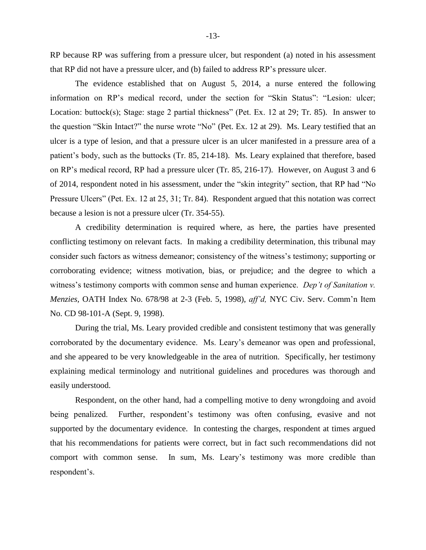RP because RP was suffering from a pressure ulcer, but respondent (a) noted in his assessment that RP did not have a pressure ulcer, and (b) failed to address RP's pressure ulcer.

The evidence established that on August 5, 2014, a nurse entered the following information on RP's medical record, under the section for "Skin Status": "Lesion: ulcer; Location: buttock(s); Stage: stage 2 partial thickness" (Pet. Ex. 12 at 29; Tr. 85). In answer to the question "Skin Intact?" the nurse wrote "No" (Pet. Ex. 12 at 29). Ms. Leary testified that an ulcer is a type of lesion, and that a pressure ulcer is an ulcer manifested in a pressure area of a patient's body, such as the buttocks (Tr. 85, 214-18). Ms. Leary explained that therefore, based on RP's medical record, RP had a pressure ulcer (Tr. 85, 216-17). However, on August 3 and 6 of 2014, respondent noted in his assessment, under the "skin integrity" section, that RP had "No Pressure Ulcers" (Pet. Ex. 12 at 25, 31; Tr. 84). Respondent argued that this notation was correct because a lesion is not a pressure ulcer (Tr. 354-55).

A credibility determination is required where, as here, the parties have presented conflicting testimony on relevant facts. In making a credibility determination, this tribunal may consider such factors as witness demeanor; consistency of the witness's testimony; supporting or corroborating evidence; witness motivation, bias, or prejudice; and the degree to which a witness's testimony comports with common sense and human experience. *Dep't of Sanitation v. Menzies,* OATH Index No. 678/98 at 2-3 (Feb. 5, 1998), *aff'd,* NYC Civ. Serv. Comm'n Item No. CD 98-101-A (Sept. 9, 1998).

During the trial, Ms. Leary provided credible and consistent testimony that was generally corroborated by the documentary evidence. Ms. Leary's demeanor was open and professional, and she appeared to be very knowledgeable in the area of nutrition. Specifically, her testimony explaining medical terminology and nutritional guidelines and procedures was thorough and easily understood.

Respondent, on the other hand, had a compelling motive to deny wrongdoing and avoid being penalized. Further, respondent's testimony was often confusing, evasive and not supported by the documentary evidence. In contesting the charges, respondent at times argued that his recommendations for patients were correct, but in fact such recommendations did not comport with common sense. In sum, Ms. Leary's testimony was more credible than respondent's.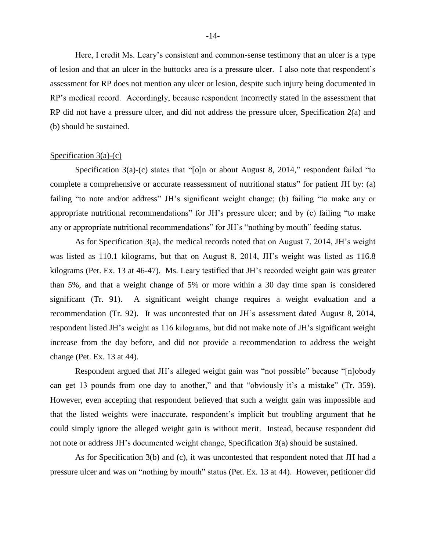Here, I credit Ms. Leary's consistent and common-sense testimony that an ulcer is a type of lesion and that an ulcer in the buttocks area is a pressure ulcer. I also note that respondent's assessment for RP does not mention any ulcer or lesion, despite such injury being documented in RP's medical record. Accordingly, because respondent incorrectly stated in the assessment that RP did not have a pressure ulcer, and did not address the pressure ulcer, Specification 2(a) and (b) should be sustained.

# Specification  $3(a)-(c)$

Specification 3(a)-(c) states that "[o]n or about August 8, 2014," respondent failed "to complete a comprehensive or accurate reassessment of nutritional status" for patient JH by: (a) failing "to note and/or address" JH's significant weight change; (b) failing "to make any or appropriate nutritional recommendations" for JH's pressure ulcer; and by (c) failing "to make any or appropriate nutritional recommendations" for JH's "nothing by mouth" feeding status.

As for Specification 3(a), the medical records noted that on August 7, 2014, JH's weight was listed as 110.1 kilograms, but that on August 8, 2014, JH's weight was listed as 116.8 kilograms (Pet. Ex. 13 at 46-47). Ms. Leary testified that JH's recorded weight gain was greater than 5%, and that a weight change of 5% or more within a 30 day time span is considered significant (Tr. 91). A significant weight change requires a weight evaluation and a recommendation (Tr. 92). It was uncontested that on JH's assessment dated August 8, 2014, respondent listed JH's weight as 116 kilograms, but did not make note of JH's significant weight increase from the day before, and did not provide a recommendation to address the weight change (Pet. Ex. 13 at 44).

Respondent argued that JH's alleged weight gain was "not possible" because "[n]obody can get 13 pounds from one day to another," and that "obviously it's a mistake" (Tr. 359). However, even accepting that respondent believed that such a weight gain was impossible and that the listed weights were inaccurate, respondent's implicit but troubling argument that he could simply ignore the alleged weight gain is without merit. Instead, because respondent did not note or address JH's documented weight change, Specification 3(a) should be sustained.

As for Specification 3(b) and (c), it was uncontested that respondent noted that JH had a pressure ulcer and was on "nothing by mouth" status (Pet. Ex. 13 at 44). However, petitioner did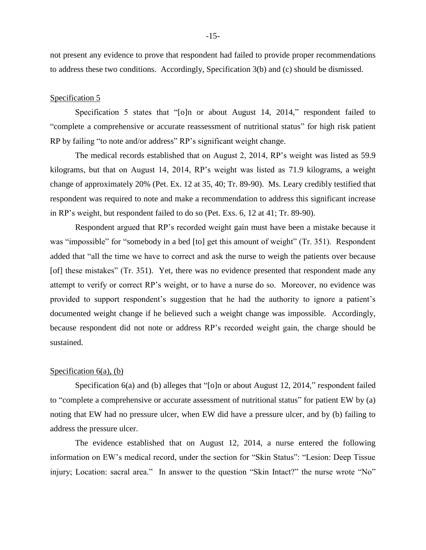not present any evidence to prove that respondent had failed to provide proper recommendations to address these two conditions. Accordingly, Specification 3(b) and (c) should be dismissed.

# Specification 5

Specification 5 states that "[o]n or about August 14, 2014," respondent failed to "complete a comprehensive or accurate reassessment of nutritional status" for high risk patient RP by failing "to note and/or address" RP's significant weight change.

The medical records established that on August 2, 2014, RP's weight was listed as 59.9 kilograms, but that on August 14, 2014, RP's weight was listed as 71.9 kilograms, a weight change of approximately 20% (Pet. Ex. 12 at 35, 40; Tr. 89-90). Ms. Leary credibly testified that respondent was required to note and make a recommendation to address this significant increase in RP's weight, but respondent failed to do so (Pet. Exs. 6, 12 at 41; Tr. 89-90).

Respondent argued that RP's recorded weight gain must have been a mistake because it was "impossible" for "somebody in a bed [to] get this amount of weight" (Tr. 351). Respondent added that "all the time we have to correct and ask the nurse to weigh the patients over because [of] these mistakes" (Tr. 351). Yet, there was no evidence presented that respondent made any attempt to verify or correct RP's weight, or to have a nurse do so. Moreover, no evidence was provided to support respondent's suggestion that he had the authority to ignore a patient's documented weight change if he believed such a weight change was impossible. Accordingly, because respondent did not note or address RP's recorded weight gain, the charge should be sustained.

# Specification  $6(a)$ ,  $(b)$

Specification 6(a) and (b) alleges that "[o]n or about August 12, 2014," respondent failed to "complete a comprehensive or accurate assessment of nutritional status" for patient EW by (a) noting that EW had no pressure ulcer, when EW did have a pressure ulcer, and by (b) failing to address the pressure ulcer.

The evidence established that on August 12, 2014, a nurse entered the following information on EW's medical record, under the section for "Skin Status": "Lesion: Deep Tissue injury; Location: sacral area." In answer to the question "Skin Intact?" the nurse wrote "No"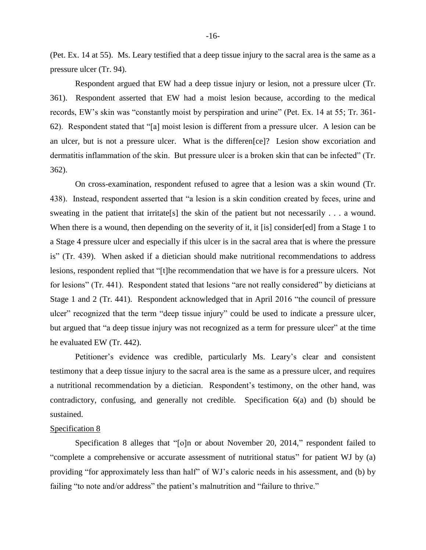(Pet. Ex. 14 at 55). Ms. Leary testified that a deep tissue injury to the sacral area is the same as a pressure ulcer (Tr. 94).

Respondent argued that EW had a deep tissue injury or lesion, not a pressure ulcer (Tr. 361). Respondent asserted that EW had a moist lesion because, according to the medical records, EW's skin was "constantly moist by perspiration and urine" (Pet. Ex. 14 at 55; Tr. 361- 62). Respondent stated that "[a] moist lesion is different from a pressure ulcer. A lesion can be an ulcer, but is not a pressure ulcer. What is the differen[ce]? Lesion show excoriation and dermatitis inflammation of the skin. But pressure ulcer is a broken skin that can be infected" (Tr. 362).

On cross-examination, respondent refused to agree that a lesion was a skin wound (Tr. 438). Instead, respondent asserted that "a lesion is a skin condition created by feces, urine and sweating in the patient that irritate[s] the skin of the patient but not necessarily . . . a wound. When there is a wound, then depending on the severity of it, it [is] consider[ed] from a Stage 1 to a Stage 4 pressure ulcer and especially if this ulcer is in the sacral area that is where the pressure is" (Tr. 439). When asked if a dietician should make nutritional recommendations to address lesions, respondent replied that "[t]he recommendation that we have is for a pressure ulcers. Not for lesions" (Tr. 441). Respondent stated that lesions "are not really considered" by dieticians at Stage 1 and 2 (Tr. 441). Respondent acknowledged that in April 2016 "the council of pressure ulcer" recognized that the term "deep tissue injury" could be used to indicate a pressure ulcer, but argued that "a deep tissue injury was not recognized as a term for pressure ulcer" at the time he evaluated EW (Tr. 442).

Petitioner's evidence was credible, particularly Ms. Leary's clear and consistent testimony that a deep tissue injury to the sacral area is the same as a pressure ulcer, and requires a nutritional recommendation by a dietician. Respondent's testimony, on the other hand, was contradictory, confusing, and generally not credible. Specification 6(a) and (b) should be sustained.

#### Specification 8

Specification 8 alleges that "[o]n or about November 20, 2014," respondent failed to "complete a comprehensive or accurate assessment of nutritional status" for patient WJ by (a) providing "for approximately less than half" of WJ's caloric needs in his assessment, and (b) by failing "to note and/or address" the patient's malnutrition and "failure to thrive."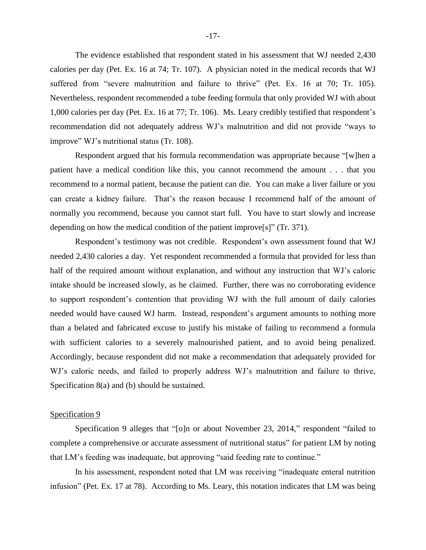The evidence established that respondent stated in his assessment that WJ needed 2,430 calories per day (Pet. Ex. 16 at 74; Tr. 107). A physician noted in the medical records that WJ suffered from "severe malnutrition and failure to thrive" (Pet. Ex. 16 at 70; Tr. 105). Nevertheless, respondent recommended a tube feeding formula that only provided WJ with about 1,000 calories per day (Pet. Ex. 16 at 77; Tr. 106). Ms. Leary credibly testified that respondent's recommendation did not adequately address WJ's malnutrition and did not provide "ways to improve" WJ's nutritional status (Tr. 108).

Respondent argued that his formula recommendation was appropriate because "[w]hen a patient have a medical condition like this, you cannot recommend the amount . . . that you recommend to a normal patient, because the patient can die. You can make a liver failure or you can create a kidney failure. That's the reason because I recommend half of the amount of normally you recommend, because you cannot start full. You have to start slowly and increase depending on how the medical condition of the patient improve[s]" (Tr. 371).

Respondent's testimony was not credible. Respondent's own assessment found that WJ needed 2,430 calories a day. Yet respondent recommended a formula that provided for less than half of the required amount without explanation, and without any instruction that WJ's caloric intake should be increased slowly, as he claimed. Further, there was no corroborating evidence to support respondent's contention that providing WJ with the full amount of daily calories needed would have caused WJ harm. Instead, respondent's argument amounts to nothing more than a belated and fabricated excuse to justify his mistake of failing to recommend a formula with sufficient calories to a severely malnourished patient, and to avoid being penalized. Accordingly, because respondent did not make a recommendation that adequately provided for WJ's caloric needs, and failed to properly address WJ's malnutrition and failure to thrive, Specification 8(a) and (b) should be sustained.

#### Specification 9

Specification 9 alleges that "[o]n or about November 23, 2014," respondent "failed to complete a comprehensive or accurate assessment of nutritional status" for patient LM by noting that LM's feeding was inadequate, but approving "said feeding rate to continue."

In his assessment, respondent noted that LM was receiving "inadequate enteral nutrition infusion" (Pet. Ex. 17 at 78). According to Ms. Leary, this notation indicates that LM was being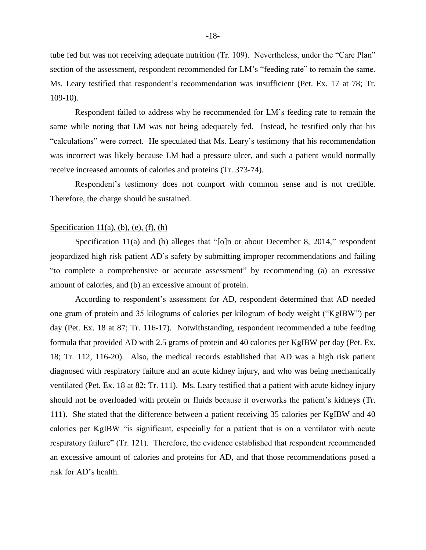tube fed but was not receiving adequate nutrition (Tr. 109). Nevertheless, under the "Care Plan" section of the assessment, respondent recommended for LM's "feeding rate" to remain the same. Ms. Leary testified that respondent's recommendation was insufficient (Pet. Ex. 17 at 78; Tr. 109-10).

Respondent failed to address why he recommended for LM's feeding rate to remain the same while noting that LM was not being adequately fed. Instead, he testified only that his "calculations" were correct. He speculated that Ms. Leary's testimony that his recommendation was incorrect was likely because LM had a pressure ulcer, and such a patient would normally receive increased amounts of calories and proteins (Tr. 373-74).

Respondent's testimony does not comport with common sense and is not credible. Therefore, the charge should be sustained.

#### Specification  $11(a)$ , (b), (e), (f), (h)

Specification 11(a) and (b) alleges that "[o]n or about December 8, 2014," respondent jeopardized high risk patient AD's safety by submitting improper recommendations and failing "to complete a comprehensive or accurate assessment" by recommending (a) an excessive amount of calories, and (b) an excessive amount of protein.

According to respondent's assessment for AD, respondent determined that AD needed one gram of protein and 35 kilograms of calories per kilogram of body weight ("KgIBW") per day (Pet. Ex. 18 at 87; Tr. 116-17). Notwithstanding, respondent recommended a tube feeding formula that provided AD with 2.5 grams of protein and 40 calories per KgIBW per day (Pet. Ex. 18; Tr. 112, 116-20). Also, the medical records established that AD was a high risk patient diagnosed with respiratory failure and an acute kidney injury, and who was being mechanically ventilated (Pet. Ex. 18 at 82; Tr. 111). Ms. Leary testified that a patient with acute kidney injury should not be overloaded with protein or fluids because it overworks the patient's kidneys (Tr. 111). She stated that the difference between a patient receiving 35 calories per KgIBW and 40 calories per KgIBW "is significant, especially for a patient that is on a ventilator with acute respiratory failure" (Tr. 121). Therefore, the evidence established that respondent recommended an excessive amount of calories and proteins for AD, and that those recommendations posed a risk for AD's health.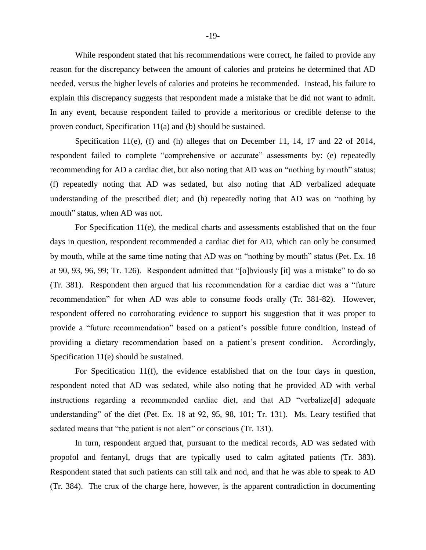While respondent stated that his recommendations were correct, he failed to provide any reason for the discrepancy between the amount of calories and proteins he determined that AD needed, versus the higher levels of calories and proteins he recommended. Instead, his failure to explain this discrepancy suggests that respondent made a mistake that he did not want to admit. In any event, because respondent failed to provide a meritorious or credible defense to the proven conduct, Specification 11(a) and (b) should be sustained.

Specification 11(e), (f) and (h) alleges that on December 11, 14, 17 and 22 of 2014, respondent failed to complete "comprehensive or accurate" assessments by: (e) repeatedly recommending for AD a cardiac diet, but also noting that AD was on "nothing by mouth" status; (f) repeatedly noting that AD was sedated, but also noting that AD verbalized adequate understanding of the prescribed diet; and (h) repeatedly noting that AD was on "nothing by mouth" status, when AD was not.

For Specification 11(e), the medical charts and assessments established that on the four days in question, respondent recommended a cardiac diet for AD, which can only be consumed by mouth, while at the same time noting that AD was on "nothing by mouth" status (Pet. Ex. 18 at 90, 93, 96, 99; Tr. 126). Respondent admitted that "[o]bviously [it] was a mistake" to do so (Tr. 381). Respondent then argued that his recommendation for a cardiac diet was a "future recommendation" for when AD was able to consume foods orally (Tr. 381-82). However, respondent offered no corroborating evidence to support his suggestion that it was proper to provide a "future recommendation" based on a patient's possible future condition, instead of providing a dietary recommendation based on a patient's present condition. Accordingly, Specification 11(e) should be sustained.

For Specification 11(f), the evidence established that on the four days in question, respondent noted that AD was sedated, while also noting that he provided AD with verbal instructions regarding a recommended cardiac diet, and that AD "verbalize[d] adequate understanding" of the diet (Pet. Ex. 18 at 92, 95, 98, 101; Tr. 131). Ms. Leary testified that sedated means that "the patient is not alert" or conscious (Tr. 131).

In turn, respondent argued that, pursuant to the medical records, AD was sedated with propofol and fentanyl, drugs that are typically used to calm agitated patients (Tr. 383). Respondent stated that such patients can still talk and nod, and that he was able to speak to AD (Tr. 384). The crux of the charge here, however, is the apparent contradiction in documenting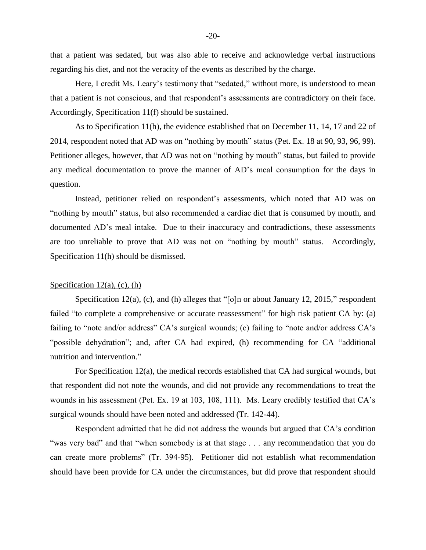that a patient was sedated, but was also able to receive and acknowledge verbal instructions regarding his diet, and not the veracity of the events as described by the charge.

Here, I credit Ms. Leary's testimony that "sedated," without more, is understood to mean that a patient is not conscious, and that respondent's assessments are contradictory on their face. Accordingly, Specification 11(f) should be sustained.

As to Specification 11(h), the evidence established that on December 11, 14, 17 and 22 of 2014, respondent noted that AD was on "nothing by mouth" status (Pet. Ex. 18 at 90, 93, 96, 99). Petitioner alleges, however, that AD was not on "nothing by mouth" status, but failed to provide any medical documentation to prove the manner of AD's meal consumption for the days in question.

Instead, petitioner relied on respondent's assessments, which noted that AD was on "nothing by mouth" status, but also recommended a cardiac diet that is consumed by mouth, and documented AD's meal intake. Due to their inaccuracy and contradictions, these assessments are too unreliable to prove that AD was not on "nothing by mouth" status. Accordingly, Specification 11(h) should be dismissed.

# Specification  $12(a)$ , (c), (h)

Specification 12(a), (c), and (h) alleges that "[o]n or about January 12, 2015," respondent failed "to complete a comprehensive or accurate reassessment" for high risk patient CA by: (a) failing to "note and/or address" CA's surgical wounds; (c) failing to "note and/or address CA's "possible dehydration"; and, after CA had expired, (h) recommending for CA "additional nutrition and intervention."

For Specification 12(a), the medical records established that CA had surgical wounds, but that respondent did not note the wounds, and did not provide any recommendations to treat the wounds in his assessment (Pet. Ex. 19 at 103, 108, 111). Ms. Leary credibly testified that CA's surgical wounds should have been noted and addressed (Tr. 142-44).

Respondent admitted that he did not address the wounds but argued that CA's condition "was very bad" and that "when somebody is at that stage . . . any recommendation that you do can create more problems" (Tr. 394-95). Petitioner did not establish what recommendation should have been provide for CA under the circumstances, but did prove that respondent should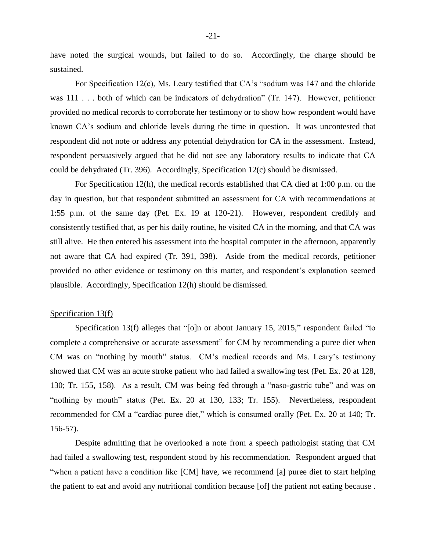have noted the surgical wounds, but failed to do so. Accordingly, the charge should be sustained.

For Specification 12(c), Ms. Leary testified that CA's "sodium was 147 and the chloride was 111 . . . both of which can be indicators of dehydration" (Tr. 147). However, petitioner provided no medical records to corroborate her testimony or to show how respondent would have known CA's sodium and chloride levels during the time in question. It was uncontested that respondent did not note or address any potential dehydration for CA in the assessment. Instead, respondent persuasively argued that he did not see any laboratory results to indicate that CA could be dehydrated (Tr. 396). Accordingly, Specification 12(c) should be dismissed.

For Specification 12(h), the medical records established that CA died at 1:00 p.m. on the day in question, but that respondent submitted an assessment for CA with recommendations at 1:55 p.m. of the same day (Pet. Ex. 19 at 120-21). However, respondent credibly and consistently testified that, as per his daily routine, he visited CA in the morning, and that CA was still alive. He then entered his assessment into the hospital computer in the afternoon, apparently not aware that CA had expired (Tr. 391, 398). Aside from the medical records, petitioner provided no other evidence or testimony on this matter, and respondent's explanation seemed plausible. Accordingly, Specification 12(h) should be dismissed.

# Specification 13(f)

Specification 13(f) alleges that "[o]n or about January 15, 2015," respondent failed "to complete a comprehensive or accurate assessment" for CM by recommending a puree diet when CM was on "nothing by mouth" status. CM's medical records and Ms. Leary's testimony showed that CM was an acute stroke patient who had failed a swallowing test (Pet. Ex. 20 at 128, 130; Tr. 155, 158). As a result, CM was being fed through a "naso-gastric tube" and was on "nothing by mouth" status (Pet. Ex. 20 at 130, 133; Tr. 155). Nevertheless, respondent recommended for CM a "cardiac puree diet," which is consumed orally (Pet. Ex. 20 at 140; Tr. 156-57).

Despite admitting that he overlooked a note from a speech pathologist stating that CM had failed a swallowing test, respondent stood by his recommendation. Respondent argued that "when a patient have a condition like [CM] have, we recommend [a] puree diet to start helping the patient to eat and avoid any nutritional condition because [of] the patient not eating because .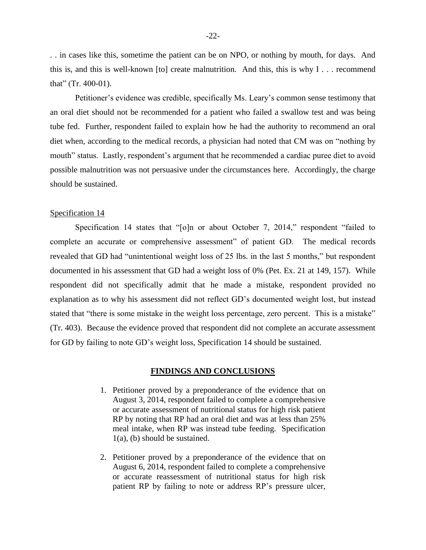. . in cases like this, sometime the patient can be on NPO, or nothing by mouth, for days. And this is, and this is well-known [to] create malnutrition. And this, this is why  $I \dots$  recommend that" (Tr. 400-01).

Petitioner's evidence was credible, specifically Ms. Leary's common sense testimony that an oral diet should not be recommended for a patient who failed a swallow test and was being tube fed. Further, respondent failed to explain how he had the authority to recommend an oral diet when, according to the medical records, a physician had noted that CM was on "nothing by mouth" status. Lastly, respondent's argument that he recommended a cardiac puree diet to avoid possible malnutrition was not persuasive under the circumstances here. Accordingly, the charge should be sustained.

#### Specification 14

Specification 14 states that "[o]n or about October 7, 2014," respondent "failed to complete an accurate or comprehensive assessment" of patient GD. The medical records revealed that GD had "unintentional weight loss of 25 lbs. in the last 5 months," but respondent documented in his assessment that GD had a weight loss of 0% (Pet. Ex. 21 at 149, 157). While respondent did not specifically admit that he made a mistake, respondent provided no explanation as to why his assessment did not reflect GD's documented weight lost, but instead stated that "there is some mistake in the weight loss percentage, zero percent. This is a mistake" (Tr. 403). Because the evidence proved that respondent did not complete an accurate assessment for GD by failing to note GD's weight loss, Specification 14 should be sustained.

#### **FINDINGS AND CONCLUSIONS**

- 1. Petitioner proved by a preponderance of the evidence that on August 3, 2014, respondent failed to complete a comprehensive or accurate assessment of nutritional status for high risk patient RP by noting that RP had an oral diet and was at less than 25% meal intake, when RP was instead tube feeding. Specification 1(a), (b) should be sustained.
- 2. Petitioner proved by a preponderance of the evidence that on August 6, 2014, respondent failed to complete a comprehensive or accurate reassessment of nutritional status for high risk patient RP by failing to note or address RP's pressure ulcer,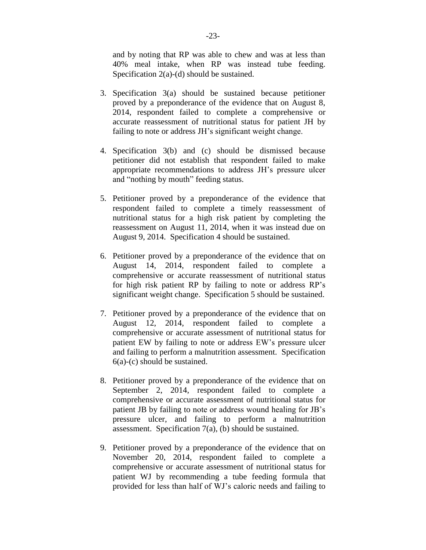and by noting that RP was able to chew and was at less than 40% meal intake, when RP was instead tube feeding. Specification 2(a)-(d) should be sustained.

- 3. Specification 3(a) should be sustained because petitioner proved by a preponderance of the evidence that on August 8, 2014, respondent failed to complete a comprehensive or accurate reassessment of nutritional status for patient JH by failing to note or address JH's significant weight change.
- 4. Specification 3(b) and (c) should be dismissed because petitioner did not establish that respondent failed to make appropriate recommendations to address JH's pressure ulcer and "nothing by mouth" feeding status.
- 5. Petitioner proved by a preponderance of the evidence that respondent failed to complete a timely reassessment of nutritional status for a high risk patient by completing the reassessment on August 11, 2014, when it was instead due on August 9, 2014. Specification 4 should be sustained.
- 6. Petitioner proved by a preponderance of the evidence that on August 14, 2014, respondent failed to complete a comprehensive or accurate reassessment of nutritional status for high risk patient RP by failing to note or address RP's significant weight change. Specification 5 should be sustained.
- 7. Petitioner proved by a preponderance of the evidence that on August 12, 2014, respondent failed to complete a comprehensive or accurate assessment of nutritional status for patient EW by failing to note or address EW's pressure ulcer and failing to perform a malnutrition assessment. Specification 6(a)-(c) should be sustained.
- 8. Petitioner proved by a preponderance of the evidence that on September 2, 2014, respondent failed to complete a comprehensive or accurate assessment of nutritional status for patient JB by failing to note or address wound healing for JB's pressure ulcer, and failing to perform a malnutrition assessment. Specification 7(a), (b) should be sustained.
- 9. Petitioner proved by a preponderance of the evidence that on November 20, 2014, respondent failed to complete a comprehensive or accurate assessment of nutritional status for patient WJ by recommending a tube feeding formula that provided for less than half of WJ's caloric needs and failing to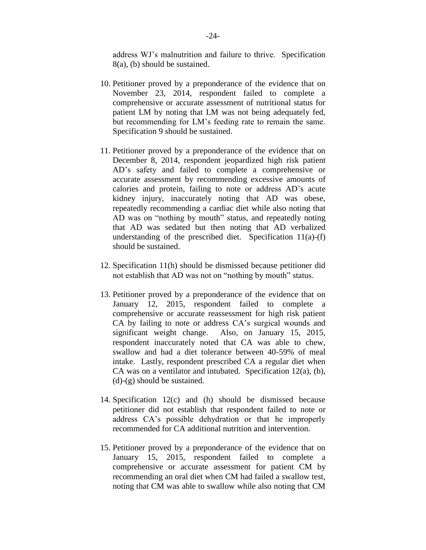address WJ's malnutrition and failure to thrive. Specification 8(a), (b) should be sustained.

- 10. Petitioner proved by a preponderance of the evidence that on November 23, 2014, respondent failed to complete a comprehensive or accurate assessment of nutritional status for patient LM by noting that LM was not being adequately fed, but recommending for LM's feeding rate to remain the same. Specification 9 should be sustained.
- 11. Petitioner proved by a preponderance of the evidence that on December 8, 2014, respondent jeopardized high risk patient AD's safety and failed to complete a comprehensive or accurate assessment by recommending excessive amounts of calories and protein, failing to note or address AD's acute kidney injury, inaccurately noting that AD was obese, repeatedly recommending a cardiac diet while also noting that AD was on "nothing by mouth" status, and repeatedly noting that AD was sedated but then noting that AD verbalized understanding of the prescribed diet. Specification  $11(a)-(f)$ should be sustained.
- 12. Specification 11(h) should be dismissed because petitioner did not establish that AD was not on "nothing by mouth" status.
- 13. Petitioner proved by a preponderance of the evidence that on January 12, 2015, respondent failed to complete a comprehensive or accurate reassessment for high risk patient CA by failing to note or address CA's surgical wounds and significant weight change. Also, on January 15, 2015, respondent inaccurately noted that CA was able to chew, swallow and had a diet tolerance between 40-59% of meal intake. Lastly, respondent prescribed CA a regular diet when CA was on a ventilator and intubated. Specification 12(a), (b), (d)-(g) should be sustained.
- 14. Specification 12(c) and (h) should be dismissed because petitioner did not establish that respondent failed to note or address CA's possible dehydration or that he improperly recommended for CA additional nutrition and intervention.
- 15. Petitioner proved by a preponderance of the evidence that on January 15, 2015, respondent failed to complete a comprehensive or accurate assessment for patient CM by recommending an oral diet when CM had failed a swallow test, noting that CM was able to swallow while also noting that CM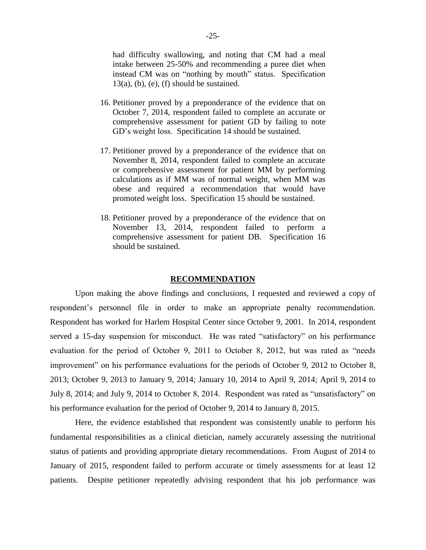had difficulty swallowing, and noting that CM had a meal intake between 25-50% and recommending a puree diet when instead CM was on "nothing by mouth" status. Specification  $13(a)$ , (b), (e), (f) should be sustained.

- 16. Petitioner proved by a preponderance of the evidence that on October 7, 2014, respondent failed to complete an accurate or comprehensive assessment for patient GD by failing to note GD's weight loss. Specification 14 should be sustained.
- 17. Petitioner proved by a preponderance of the evidence that on November 8, 2014, respondent failed to complete an accurate or comprehensive assessment for patient MM by performing calculations as if MM was of normal weight, when MM was obese and required a recommendation that would have promoted weight loss. Specification 15 should be sustained.
- 18. Petitioner proved by a preponderance of the evidence that on November 13, 2014, respondent failed to perform a comprehensive assessment for patient DB. Specification 16 should be sustained.

#### **RECOMMENDATION**

Upon making the above findings and conclusions, I requested and reviewed a copy of respondent's personnel file in order to make an appropriate penalty recommendation. Respondent has worked for Harlem Hospital Center since October 9, 2001. In 2014, respondent served a 15-day suspension for misconduct. He was rated "satisfactory" on his performance evaluation for the period of October 9, 2011 to October 8, 2012, but was rated as "needs improvement" on his performance evaluations for the periods of October 9, 2012 to October 8, 2013; October 9, 2013 to January 9, 2014; January 10, 2014 to April 9, 2014; April 9, 2014 to July 8, 2014; and July 9, 2014 to October 8, 2014. Respondent was rated as "unsatisfactory" on his performance evaluation for the period of October 9, 2014 to January 8, 2015.

Here, the evidence established that respondent was consistently unable to perform his fundamental responsibilities as a clinical dietician, namely accurately assessing the nutritional status of patients and providing appropriate dietary recommendations. From August of 2014 to January of 2015, respondent failed to perform accurate or timely assessments for at least 12 patients. Despite petitioner repeatedly advising respondent that his job performance was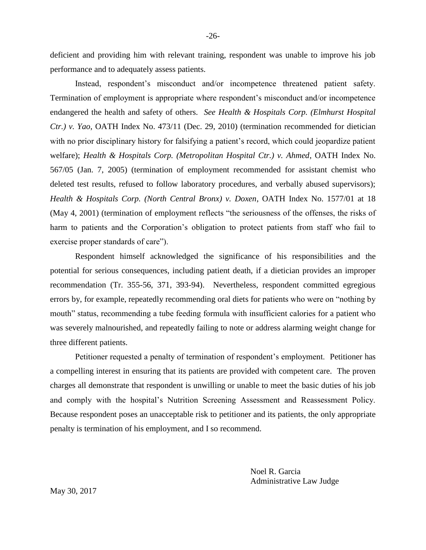deficient and providing him with relevant training, respondent was unable to improve his job performance and to adequately assess patients.

Instead, respondent's misconduct and/or incompetence threatened patient safety. Termination of employment is appropriate where respondent's misconduct and/or incompetence endangered the health and safety of others. *See Health & Hospitals Corp. (Elmhurst Hospital Ctr.) v. Yao*, OATH Index No. 473/11 (Dec. 29, 2010) (termination recommended for dietician with no prior disciplinary history for falsifying a patient's record, which could jeopardize patient welfare); *Health & Hospitals Corp. (Metropolitan Hospital Ctr.) v. Ahmed*, OATH Index No. 567/05 (Jan. 7, 2005) (termination of employment recommended for assistant chemist who deleted test results, refused to follow laboratory procedures, and verbally abused supervisors); *Health & Hospitals Corp. (North Central Bronx) v. Doxen*, OATH Index No. 1577/01 at 18 (May 4, 2001) (termination of employment reflects "the seriousness of the offenses, the risks of harm to patients and the Corporation's obligation to protect patients from staff who fail to exercise proper standards of care").

Respondent himself acknowledged the significance of his responsibilities and the potential for serious consequences, including patient death, if a dietician provides an improper recommendation (Tr. 355-56, 371, 393-94). Nevertheless, respondent committed egregious errors by, for example, repeatedly recommending oral diets for patients who were on "nothing by mouth" status, recommending a tube feeding formula with insufficient calories for a patient who was severely malnourished, and repeatedly failing to note or address alarming weight change for three different patients.

Petitioner requested a penalty of termination of respondent's employment. Petitioner has a compelling interest in ensuring that its patients are provided with competent care. The proven charges all demonstrate that respondent is unwilling or unable to meet the basic duties of his job and comply with the hospital's Nutrition Screening Assessment and Reassessment Policy. Because respondent poses an unacceptable risk to petitioner and its patients, the only appropriate penalty is termination of his employment, and I so recommend.

> Noel R. Garcia Administrative Law Judge

May 30, 2017